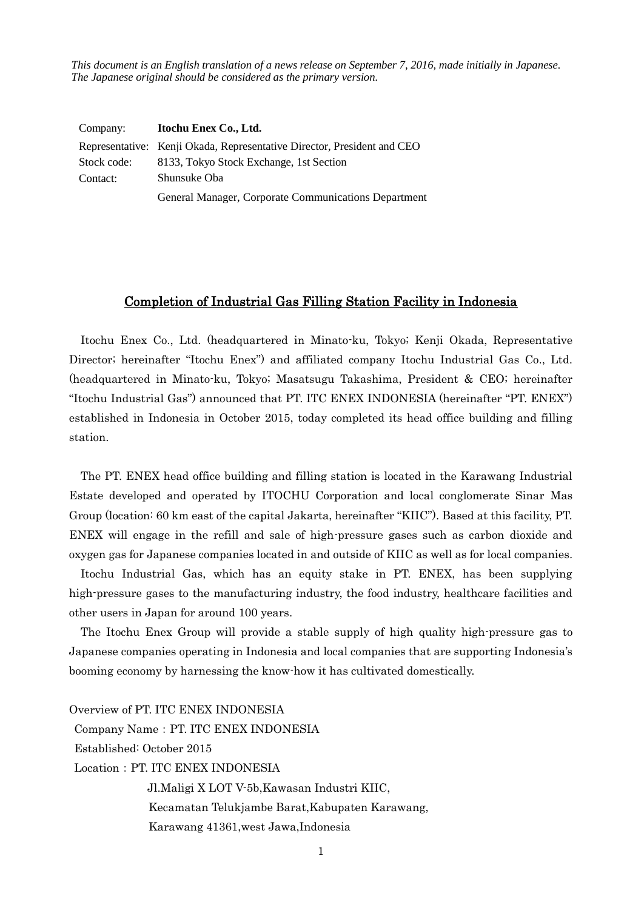*This document is an English translation of a news release on September 7, 2016, made initially in Japanese. The Japanese original should be considered as the primary version.*

| Company:    | Itochu Enex Co., Ltd.                                                   |
|-------------|-------------------------------------------------------------------------|
|             | Representative: Kenji Okada, Representative Director, President and CEO |
| Stock code: | 8133, Tokyo Stock Exchange, 1st Section                                 |
| Contact:    | Shunsuke Oba                                                            |
|             | General Manager, Corporate Communications Department                    |

## Completion of Industrial Gas Filling Station Facility in Indonesia

Itochu Enex Co., Ltd. (headquartered in Minato-ku, Tokyo; Kenji Okada, Representative Director; hereinafter "Itochu Enex") and affiliated company Itochu Industrial Gas Co., Ltd. (headquartered in Minato-ku, Tokyo; Masatsugu Takashima, President & CEO; hereinafter "Itochu Industrial Gas") announced that PT. ITC ENEX INDONESIA (hereinafter "PT. ENEX") established in Indonesia in October 2015, today completed its head office building and filling station.

The PT. ENEX head office building and filling station is located in the Karawang Industrial Estate developed and operated by ITOCHU Corporation and local conglomerate Sinar Mas Group (location: 60 km east of the capital Jakarta, hereinafter "KIIC"). Based at this facility, PT. ENEX will engage in the refill and sale of high-pressure gases such as carbon dioxide and oxygen gas for Japanese companies located in and outside of KIIC as well as for local companies.

Itochu Industrial Gas, which has an equity stake in PT. ENEX, has been supplying high-pressure gases to the manufacturing industry, the food industry, healthcare facilities and other users in Japan for around 100 years.

The Itochu Enex Group will provide a stable supply of high quality high-pressure gas to Japanese companies operating in Indonesia and local companies that are supporting Indonesia's booming economy by harnessing the know-how it has cultivated domestically.

Overview of PT. ITC ENEX INDONESIA Company Name:PT. ITC ENEX INDONESIA Established: October 2015 Location: PT. ITC ENEX INDONESIA Jl.Maligi X LOT V-5b,Kawasan Industri KIIC, Kecamatan Telukjambe Barat,Kabupaten Karawang, Karawang 41361,west Jawa,Indonesia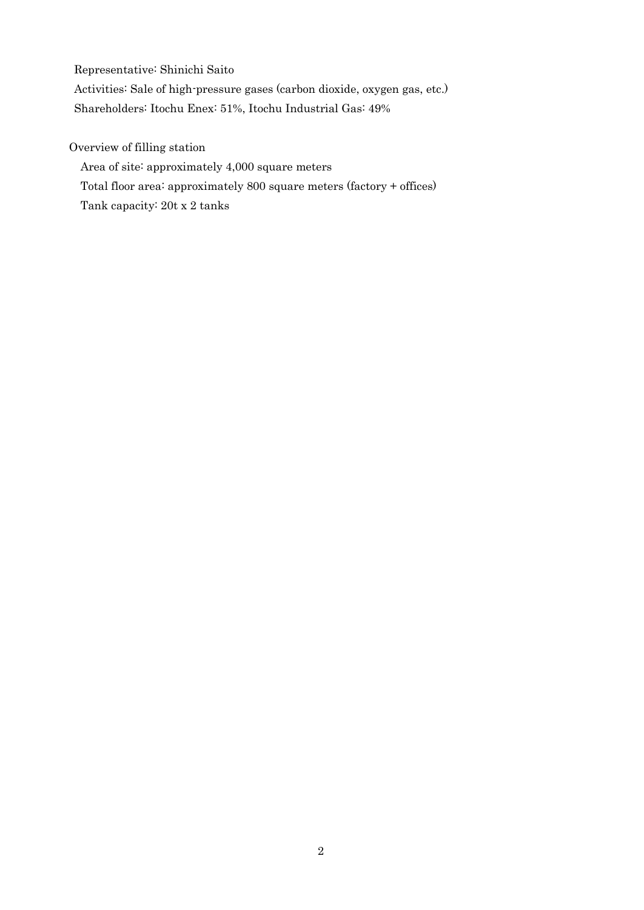Representative: Shinichi Saito

Activities: Sale of high-pressure gases (carbon dioxide, oxygen gas, etc.) Shareholders: Itochu Enex: 51%, Itochu Industrial Gas: 49%

Overview of filling station

Area of site: approximately 4,000 square meters

Total floor area: approximately 800 square meters (factory + offices)

Tank capacity: 20t x 2 tanks